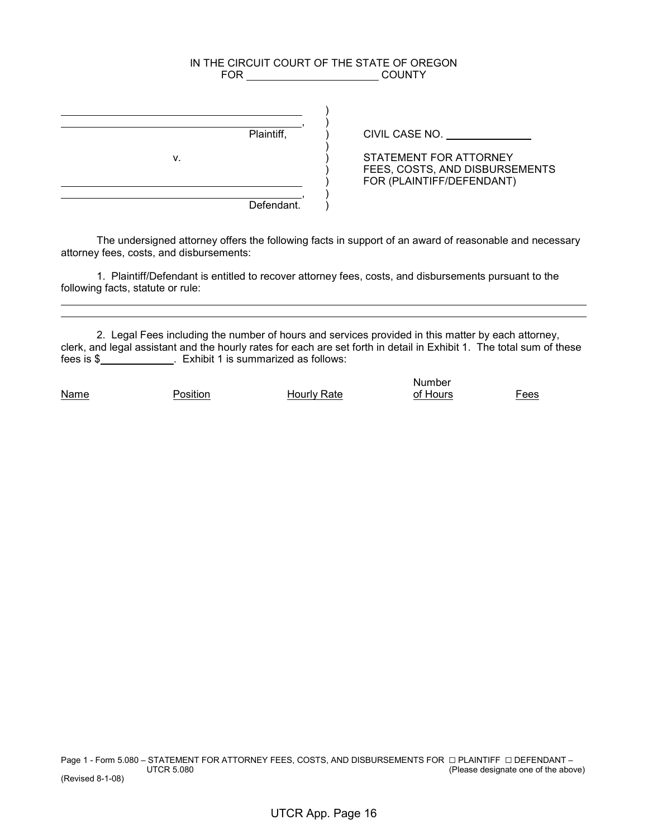## IN THE CIRCUIT COURT OF THE STATE OF OREGON FOR COUNTY

|    | Plaintiff, |
|----|------------|
| ۷. |            |
|    |            |
|    |            |
|    | Defendant. |

CIVIL CASE NO.

 $\overline{y}$  STATEMENT FOR ATTORNEY ) FEES, COSTS, AND DISBURSEMENTS ) FOR (PLAINTIFF/DEFENDANT)

 The undersigned attorney offers the following facts in support of an award of reasonable and necessary attorney fees, costs, and disbursements:

 1. Plaintiff/Defendant is entitled to recover attorney fees, costs, and disbursements pursuant to the following facts, statute or rule:

 2. Legal Fees including the number of hours and services provided in this matter by each attorney, clerk, and legal assistant and the hourly rates for each are set forth in detail in Exhibit 1. The total sum of these fees is \$ . Exhibit 1 is summarized as follows:

 

Name **Position Hourly Rate** of Hours Fees

number and the control of the control of the control of the control of the control of the control of the control of the control of the control of the control of the control of the control of the control of the control of t